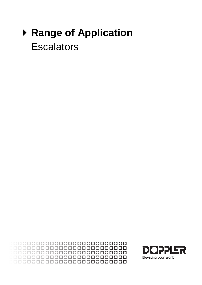# ▶ **Range of Application Escalators**

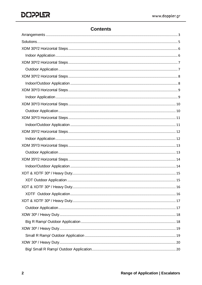## **Contents**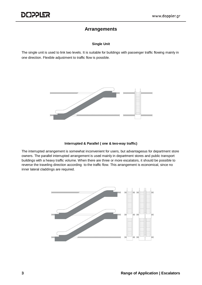#### **Arrangements**

#### **Single Unit**

<span id="page-2-0"></span>The single unit is used to link two levels. It is suitable for buildings with passenger traffic flowing mainly in one direction. Flexible adjustment to traffic flow is possible.



#### **Interrupted & Parallel ( one & two-way traffic)**

The interrupted arrangement is somewhat inconvenient for users, but advantageous for department store owners. The parallel interrupted arrangement is used mainly in department stores and public transport buildings with a heavy traffic volume. When there are three or more escalators, it should be possible to reverse the traveling direction according to the traffic flow. This arrangement is economical, since no inner lateral claddings are required.

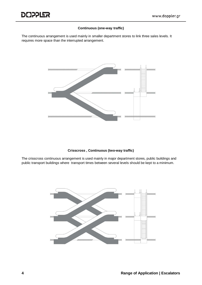#### **Continuous (one-way traffic)**

The continuous arrangement is used mainly in smaller department stores to link three sales levels. It requires more space than the interrupted arrangement.



#### **Crisscross , Continuous (two-way traffic)**

The crisscross continuous arrangement is used mainly in major department stores, public buildings and public transport buildings where transport times between several levels should be kept to a minimum.

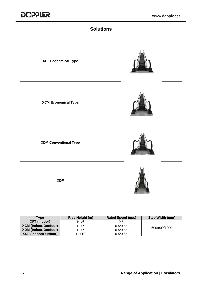

# **Solutions**

<span id="page-4-0"></span>

| <b>XFT Economical Type</b>   |  |
|------------------------------|--|
| <b>XCM Economical Type</b>   |  |
| <b>XDM Conventional Type</b> |  |
| <b>XDF</b>                   |  |

| Tvpe                        | Rise Height (m) | Rated Speed (m/s) | Step Width (mm) |
|-----------------------------|-----------------|-------------------|-----------------|
| XFT (Indoor)                | H ≤6            | 0.5               |                 |
| <b>XCM (Indoor/Outdoor)</b> | H ≤7            | 0.5/0.65          | 600/800/1000    |
| <b>XDM (Indoor/Outdoor)</b> | $H \le 7$       | 0.5/0.65          |                 |
| <b>XDF (Indoor/Outdoor)</b> | H ≤10           | 0.5/0.65          |                 |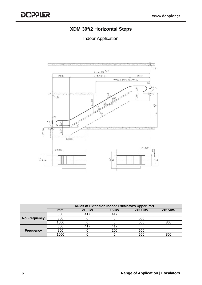## **XDM 30º/2 Horizontal Steps**

#### Indoor Application

<span id="page-5-1"></span><span id="page-5-0"></span>

|                     | <b>Rules of Extension Indoor Escalator's Upper Part</b> |        |             |               |               |  |  |
|---------------------|---------------------------------------------------------|--------|-------------|---------------|---------------|--|--|
|                     | mm                                                      | $15KW$ | <b>15KW</b> | <b>2X11KW</b> | <b>2X15KW</b> |  |  |
|                     | 600                                                     | 417    | 417         |               |               |  |  |
| <b>No Frequency</b> | 800                                                     |        |             | 500           |               |  |  |
|                     | 1000                                                    |        |             | 500           | 800           |  |  |
|                     | 600                                                     | 417    | 417         |               |               |  |  |
| <b>Frequency</b>    | 800                                                     |        | 200         | 500           |               |  |  |
|                     | 1000                                                    |        |             | 500           | 800           |  |  |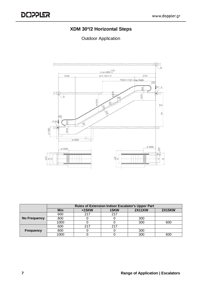## **XDM 30º/2 Horizontal Steps**

<span id="page-6-1"></span><span id="page-6-0"></span>

|                  | <b>Rules of Extension Indoor Escalator's Upper Part</b> |        |             |               |               |  |  |
|------------------|---------------------------------------------------------|--------|-------------|---------------|---------------|--|--|
|                  | Mm                                                      | $15KW$ | <b>15KW</b> | <b>2X11KW</b> | <b>2X15KW</b> |  |  |
|                  | 600                                                     | 217    | 217         |               |               |  |  |
| No Frequency     | 800                                                     |        |             | 300           |               |  |  |
|                  | 1000                                                    |        |             | 300           | 600           |  |  |
|                  | 600                                                     | 217    | 217         |               |               |  |  |
| <b>Frequency</b> | 800                                                     |        |             | 300           |               |  |  |
|                  | 1000                                                    |        |             | 300           | 600           |  |  |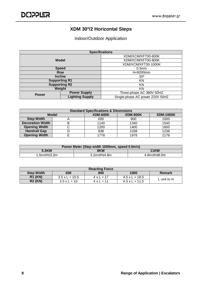#### **XDM 30º/2 Horizontal Steps**

Indoor/Outdoor Application

<span id="page-7-1"></span><span id="page-7-0"></span>

|                      | <b>Specifications</b>  |                                 |  |  |
|----------------------|------------------------|---------------------------------|--|--|
| <b>Model</b>         |                        | XDM/XCM/XFT30-600K              |  |  |
|                      |                        | XDM/XCM/XFT30-800K              |  |  |
|                      |                        | XDM/XCM/XFT30-1000K             |  |  |
|                      | <b>Speed</b>           | $0.5m$ /s                       |  |  |
| <b>Rise</b>          |                        | H<6000mm                        |  |  |
| <b>Incline</b>       |                        | $30^\circ$                      |  |  |
| <b>Supporting R1</b> |                        | ΚN                              |  |  |
|                      | <b>Supporting R2</b>   | ΚN                              |  |  |
| Weight               |                        | ΚN                              |  |  |
| <b>Power</b>         | <b>Power Supply</b>    | Three-phase AC 380V 50HZ        |  |  |
|                      | <b>Lighting Supply</b> | Single-phase AC power 220V 50HZ |  |  |

| <b>Standard Specifications &amp; Dimensions</b> |              |                 |                 |                  |  |  |
|-------------------------------------------------|--------------|-----------------|-----------------|------------------|--|--|
|                                                 | <b>Model</b> | <b>XDM-600K</b> | <b>XDM-800K</b> | <b>XDM-1000K</b> |  |  |
| <b>Step Width</b>                               |              | 600             | 800             | 1000             |  |  |
| <b>Decoration Width</b>                         | B            | 1140            | 1340            | 1540             |  |  |
| <b>Opening Width</b>                            |              | 1200            | 1400            | 1600             |  |  |
| <b>Handrail Gap</b>                             |              | 838             | 1038            | 1238             |  |  |
| <b>Opening Width</b>                            |              | 1778            | 1978            | 2178             |  |  |

| Power Meter (Step width 1000mm, speed 0.5m/s) |             |             |  |  |  |
|-----------------------------------------------|-------------|-------------|--|--|--|
| 5.5KW                                         | 8KW         | <b>11KW</b> |  |  |  |
| 1.5m≤H≤3.2m                                   | 3.2m≤H≤4.8m | 4.8m≤H≤6.0m |  |  |  |

| <b>Reacting Force</b> |                       |                   |                       |               |  |  |
|-----------------------|-----------------------|-------------------|-----------------------|---------------|--|--|
| <b>Step Width</b>     | 600                   | 800               | 1000                  | <b>Remark</b> |  |  |
| <b>R1 (KN)</b>        | $3.5 \times L + 15.5$ | $4 \times L + 17$ | $4.5 \times L + 18.5$ | L unit to $m$ |  |  |
| <b>R2 (KN)</b>        | $3.5 \times L + 10$   | $4 \times 1 + 11$ | $4.5 \times L + 11.5$ |               |  |  |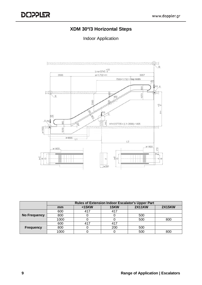#### **XDM 30º/3 Horizontal Steps**

#### Indoor Application

<span id="page-8-1"></span><span id="page-8-0"></span>

|                  | <b>Rules of Extension Indoor Escalator's Upper Part</b> |        |             |               |               |  |
|------------------|---------------------------------------------------------|--------|-------------|---------------|---------------|--|
|                  | mm                                                      | $15KW$ | <b>15KW</b> | <b>2X11KW</b> | <b>2X15KW</b> |  |
|                  | 600                                                     | 417    | 417         |               |               |  |
| No Frequency     | 800                                                     |        |             | 500           |               |  |
|                  | 1000                                                    |        |             | 500           | 800           |  |
|                  | 600                                                     | 417    | 417         |               |               |  |
| <b>Frequency</b> | 800                                                     |        | 200         | 500           |               |  |
|                  | 1000                                                    |        |             | 500           | 800           |  |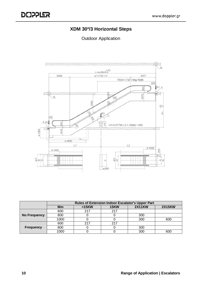#### **XDM 30º/3 Horizontal Steps**

<span id="page-9-1"></span><span id="page-9-0"></span>

|                     | <b>Rules of Extension Indoor Escalator's Upper Part</b> |        |             |               |               |  |  |
|---------------------|---------------------------------------------------------|--------|-------------|---------------|---------------|--|--|
|                     | Mm                                                      | $15KW$ | <b>15KW</b> | <b>2X11KW</b> | <b>2X15KW</b> |  |  |
|                     | 600                                                     | 217    | 217         |               |               |  |  |
| <b>No Frequency</b> | 800                                                     |        |             | 300           |               |  |  |
|                     | 1000                                                    |        |             | 300           | 600           |  |  |
|                     | 600                                                     | 217    | 217         |               |               |  |  |
| <b>Frequency</b>    | 800                                                     |        |             | 300           |               |  |  |
|                     | 1000                                                    |        |             | 300           | 600           |  |  |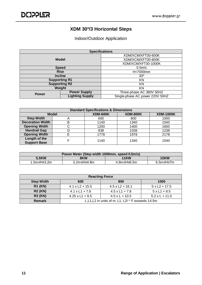#### **XDM 30º/3 Horizontal Steps**

Indoor/Outdoor Application

<span id="page-10-1"></span><span id="page-10-0"></span>

| <b>Specifications</b> |                        |                                 |  |
|-----------------------|------------------------|---------------------------------|--|
|                       |                        | XDM/XCM/XFT30-600K              |  |
|                       | <b>Model</b>           | XDM/XCM/XFT30-800K              |  |
|                       |                        | XDM/XCM/XFT30-1000K             |  |
|                       | <b>Speed</b>           | 0.5 <sub>m</sub> /s             |  |
| <b>Rise</b>           |                        | H<7000mm                        |  |
| <b>Incline</b>        |                        | $30^\circ$                      |  |
| <b>Supporting R1</b>  |                        | ΚN                              |  |
|                       | <b>Supporting R2</b>   | ΚN                              |  |
| Weight                |                        | ΚN                              |  |
| <b>Power</b>          | <b>Power Supply</b>    | Three-phase AC 380V 50HZ        |  |
|                       | <b>Lighting Supply</b> | Single-phase AC power 220V 50HZ |  |

| <b>Standard Specifications &amp; Dimensions</b> |              |                 |                 |                  |
|-------------------------------------------------|--------------|-----------------|-----------------|------------------|
|                                                 | <b>Model</b> | <b>XDM-600K</b> | <b>XDM-800K</b> | <b>XDM-1000K</b> |
| <b>Step Width</b>                               | Α            | 600             | 800             | 1000             |
| <b>Decoration Width</b>                         | B            | 1140            | 1340            | 1540             |
| <b>Opening Width</b>                            | С            | 1200            | 1400            | 1600             |
| <b>Handrail Gap</b>                             |              | 838             | 1038            | 1238             |
| <b>Opening Width</b>                            | F            | 1778            | 1978            | 2178             |
| Length of the                                   |              | 1140            | 1340            | 1540             |
| <b>Support Base</b>                             |              |                 |                 |                  |

| Power Meter (Step width 1000mm, speed 0.5m/s) |             |             |             |
|-----------------------------------------------|-------------|-------------|-------------|
| 5.5KW                                         | 8KW         | <b>11KW</b> | <b>15KW</b> |
| 1.5m≤H≤3.2m                                   | 3.2m≤H≤4.8m | 4.8m≤H≤6.5m | 6.5m≤H≤7m   |

| <b>Reacting Force</b> |                                                                     |                        |                      |  |  |  |
|-----------------------|---------------------------------------------------------------------|------------------------|----------------------|--|--|--|
| <b>Step Width</b>     | 600                                                                 | 800<br>1000            |                      |  |  |  |
| <b>R1 (KN)</b>        | $4.1 \times L2 + 15.5$                                              | $4.5 \times L2 + 16.1$ | $5 \times L2 + 17.5$ |  |  |  |
| <b>R2 (KN)</b>        | $4.1 \times L1 + 7.8$                                               | $4.5 \times L1 + 7.8$  | $5xL1 + 8.5$         |  |  |  |
| <b>R3 (KN)</b>        | $4.5 \times L + 10.5$<br>$5.2$ x L + 11.5<br>$4.25 \times L1 + 9.5$ |                        |                      |  |  |  |
| <b>Remark</b>         | L, L1, L2 in units of m, L1, L2I $\wedge$ F exceeds 14.5m           |                        |                      |  |  |  |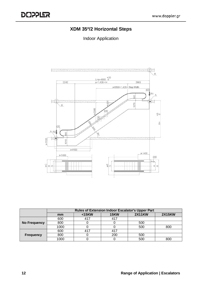## **XDM 35º/2 Horizontal Steps**

Indoor Application

<span id="page-11-1"></span><span id="page-11-0"></span>

|                     | <b>Rules of Extension Indoor Escalator's Upper Part</b> |        |             |               |               |
|---------------------|---------------------------------------------------------|--------|-------------|---------------|---------------|
|                     | mm                                                      | $15KW$ | <b>15KW</b> | <b>2X11KW</b> | <b>2X15KW</b> |
|                     | 600                                                     | 41.    | 417         |               |               |
| <b>No Frequency</b> | 800                                                     |        |             | 500           |               |
|                     | 1000                                                    |        |             | 500           | 800           |
|                     | 600                                                     | 41.    | 417         |               |               |
| <b>Frequency</b>    | 800                                                     |        | 200         | 500           |               |
|                     | 1000                                                    |        |             | 500           | 800           |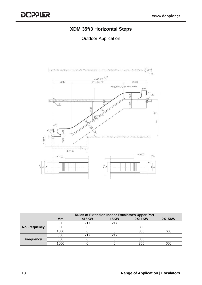#### **XDM 35º/3 Horizontal Steps**

<span id="page-12-1"></span><span id="page-12-0"></span>

|                     | <b>Rules of Extension Indoor Escalator's Upper Part</b> |        |             |               |               |  |
|---------------------|---------------------------------------------------------|--------|-------------|---------------|---------------|--|
|                     | Mm                                                      | $15KW$ | <b>15KW</b> | <b>2X11KW</b> | <b>2X15KW</b> |  |
|                     | 600                                                     | 217    | 217         |               |               |  |
| <b>No Frequency</b> | 800                                                     |        |             | 300           |               |  |
|                     | 1000                                                    |        |             | 300           | 600           |  |
|                     | 600                                                     | 217    | 217         |               |               |  |
| <b>Frequency</b>    | 800                                                     |        |             | 300           |               |  |
|                     | 1000                                                    |        |             | 300           | 600           |  |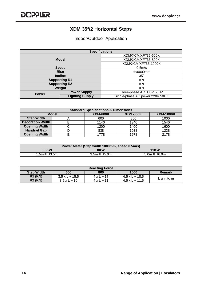#### **XDM 35º/2 Horizontal Steps**

#### Indoor/Outdoor Application

<span id="page-13-1"></span><span id="page-13-0"></span>

|                      | <b>Specifications</b>  |                                 |  |  |
|----------------------|------------------------|---------------------------------|--|--|
| <b>Model</b>         |                        | XDM/XCM/XFT35-600K              |  |  |
|                      |                        | XDM/XCM/XFT35-800K              |  |  |
|                      |                        | XDM/XCM/XFT35-1000K             |  |  |
| <b>Speed</b>         |                        | $0.5m$ /s                       |  |  |
| <b>Rise</b>          |                        | H<6000mm                        |  |  |
| <b>Incline</b>       |                        | $35^\circ$                      |  |  |
| <b>Supporting R1</b> |                        | KN                              |  |  |
|                      | <b>Supporting R2</b>   | KN                              |  |  |
| Weight               |                        | KN                              |  |  |
| <b>Power</b>         | <b>Power Supply</b>    | Three-phase AC 380V 50HZ        |  |  |
|                      | <b>Lighting Supply</b> | Single-phase AC power 220V 50HZ |  |  |

| <b>Standard Specifications &amp; Dimensions</b> |              |                 |                 |                  |
|-------------------------------------------------|--------------|-----------------|-----------------|------------------|
|                                                 | <b>Model</b> | <b>XDM-600K</b> | <b>XDM-800K</b> | <b>XDM-1000K</b> |
| <b>Step Width</b>                               |              | 600             | 800             | 1000             |
| <b>Decoration Width</b>                         | B            | 1140            | 1340            | 1540             |
| <b>Opening Width</b>                            |              | 1200            | 1400            | 1600             |
| <b>Handrail Gap</b>                             |              | 838             | 1038            | 1238             |
| <b>Opening Width</b>                            |              | 1778            | 1978            | 2178             |

| Power Meter (Step width 1000mm, speed 0.5m/s) |             |             |  |
|-----------------------------------------------|-------------|-------------|--|
| 5.5KW<br>8KW<br><b>11KW</b>                   |             |             |  |
| 1.5m≤H≤3.5m                                   | 3.5m≤H≤5.0m | 5.0m≤H≤6.0m |  |

| <b>Reacting Force</b> |                       |                   |                       |               |
|-----------------------|-----------------------|-------------------|-----------------------|---------------|
| <b>Step Width</b>     | 600                   | 800               | 1000                  | <b>Remark</b> |
| <b>R1 (KN)</b>        | $3.5 \times L + 15.5$ | $4 \times L + 17$ | $4.5 \times L + 18.5$ | L unit to $m$ |
| <b>R2 (KN)</b>        | $3.5xL + 10$          | $4 \times 1 + 11$ | $4.5 \times L + 11.5$ |               |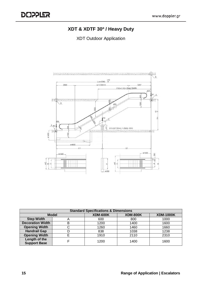# **XDT & XDTF 30º / Heavy Duty**

<span id="page-14-1"></span><span id="page-14-0"></span>

| <b>Standard Specifications &amp; Dimensions</b> |              |                 |                 |                  |
|-------------------------------------------------|--------------|-----------------|-----------------|------------------|
|                                                 | <b>Model</b> | <b>XDM-600K</b> | <b>XDM-800K</b> | <b>XDM-1000K</b> |
| <b>Step Width</b>                               | A            | 600             | 800             | 1000             |
| <b>Decoration Width</b>                         | B            | 1200            | 1400            | 1600             |
| <b>Opening Width</b>                            | ⌒            | 1260            | 1460            | 1660             |
| <b>Handrail Gap</b>                             |              | 838             | 1038            | 1238             |
| <b>Opening Width</b>                            |              | 1910            | 2110            | 2310             |
| Length of the<br><b>Support Base</b>            |              | 1200            | 1400            | 1600             |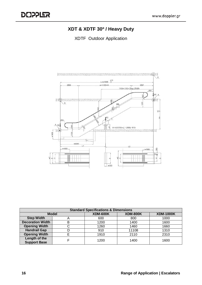# **XDT & XDTF 30º / Heavy Duty**

XDTF Outdoor Application

<span id="page-15-1"></span><span id="page-15-0"></span>

| <b>Standard Specifications &amp; Dimensions</b> |              |                 |                 |                  |
|-------------------------------------------------|--------------|-----------------|-----------------|------------------|
|                                                 | <b>Model</b> | <b>XDM-600K</b> | <b>XDM-800K</b> | <b>XDM-1000K</b> |
| <b>Step Width</b>                               | A            | 600             | 800             | 1000             |
| <b>Decoration Width</b>                         | Β            | 1200            | 1400            | 1600             |
| <b>Opening Width</b>                            |              | 1260            | 1460            | 1660             |
| <b>Handrail Gap</b>                             |              | 910             | 11108           | 1310             |
| <b>Opening Width</b>                            |              | 1910            | 2110            | 2310             |
| Length of the                                   |              | 1200            | 1400            | 1600             |
| <b>Support Base</b>                             |              |                 |                 |                  |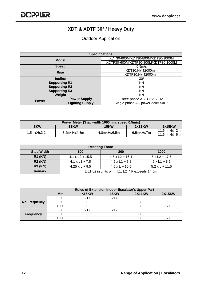## **XDT & XDTF 30º / Heavy Duty**

<span id="page-16-1"></span><span id="page-16-0"></span>

|                      | <b>Specifications</b>  |                                      |  |
|----------------------|------------------------|--------------------------------------|--|
| <b>Model</b>         |                        | XDT30-600M/XDT30-800M/XDT30-1000M    |  |
|                      |                        | XDTF30-600M/XDTF30-800M/XDTF30-1000M |  |
|                      | <b>Speed</b>           | $0.5m$ /s                            |  |
| <b>Rise</b>          |                        | XDT30:H≤ 12000mm                     |  |
|                      |                        | XDTF30:H≤ 12000mm                    |  |
| <b>Incline</b>       |                        | $30^\circ$                           |  |
| <b>Supporting R1</b> |                        | ΚN                                   |  |
|                      | <b>Supporting R2</b>   | ΚN                                   |  |
|                      | <b>Supporting R3</b>   | ΚN                                   |  |
| Weight               |                        | ΚN                                   |  |
| <b>Power</b>         | <b>Power Supply</b>    | Three-phase AC 380V 50HZ             |  |
|                      | <b>Lighting Supply</b> | Single-phase AC power 220V 50HZ      |  |

| Power Meter (Step width 1000mm, speed 0.5m/s)         |                      |                                                                                                                                 |                                                                                           |                                                         |  |
|-------------------------------------------------------|----------------------|---------------------------------------------------------------------------------------------------------------------------------|-------------------------------------------------------------------------------------------|---------------------------------------------------------|--|
| 2x11KW<br>8KW<br>2x15KW<br><b>11KW</b><br><b>15KW</b> |                      |                                                                                                                                 |                                                                                           |                                                         |  |
| 1.5m≤H≤3.2m                                           | $3.2m < H \leq 4.8m$ | 4.8m <h≤6.5m< td=""><td>6.5m<h≤7m< td=""><td>11.5m<h≤12m<br>11.5m<h≤16m< td=""></h≤16m<></h≤12m<br></td></h≤7m<></td></h≤6.5m<> | 6.5m <h≤7m< td=""><td>11.5m<h≤12m<br>11.5m<h≤16m< td=""></h≤16m<></h≤12m<br></td></h≤7m<> | 11.5m <h≤12m<br>11.5m<h≤16m< td=""></h≤16m<></h≤12m<br> |  |

| <b>Reacting Force</b> |                                                           |                        |                      |  |  |  |  |
|-----------------------|-----------------------------------------------------------|------------------------|----------------------|--|--|--|--|
| <b>Step Width</b>     | 800<br>600<br>1000                                        |                        |                      |  |  |  |  |
| <b>R1 (KN)</b>        | $4.1 \times L2 + 15.5$                                    | $4.5 \times L2 + 16.1$ | $5 \times L2 + 17.5$ |  |  |  |  |
| <b>R2 (KN)</b>        | $4.1 \times L1 + 7.8$                                     | $4.5 \times 11 + 7.8$  | $5xL1 + 8.5$         |  |  |  |  |
| <b>R3 (KN)</b>        | $4.25 \times L + 9.5$<br>$4.5xL + 10.5$<br>$5.2xL + 11.5$ |                        |                      |  |  |  |  |
| <b>Remark</b>         | L, L1, L2 in units of m, L1, L2I $\wedge$ F exceeds 14.5m |                        |                      |  |  |  |  |

|                  | <b>Rules of Extension Indoor Escalator's Upper Part</b> |        |             |               |               |
|------------------|---------------------------------------------------------|--------|-------------|---------------|---------------|
|                  | Mm                                                      | $15KW$ | <b>15KW</b> | <b>2X11KW</b> | <b>2X15KW</b> |
|                  | 600                                                     | 217    | 217         |               |               |
| No Frequency     | 800                                                     |        |             | 300           |               |
|                  | 1000                                                    |        |             | 300           | 600           |
|                  | 600                                                     | 217    | 217         |               |               |
| <b>Frequency</b> | 800                                                     |        |             | 300           |               |
|                  | 1000                                                    |        |             | 300           | 600           |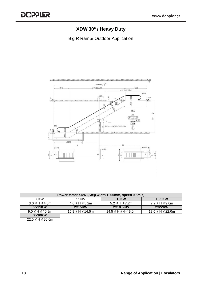# **XDW 30º / Heavy Duty**

<span id="page-17-1"></span><span id="page-17-0"></span>Big R Ramp/ Outdoor Application



| Power Meter XDW (Step width 1000mm, speed 0.5m/s) |                        |                               |                           |  |
|---------------------------------------------------|------------------------|-------------------------------|---------------------------|--|
| 8KW                                               | 11KW                   | <b>15KW</b>                   | <b>18.5KW</b>             |  |
| $3.0 \leq H \leq 4.0$ m                           | $4.0 \leq H \leq 5.2m$ | $5.2 \leq H \leq 7.2$ m       | $7.2 \leq H \leq 9.0$ m   |  |
| 2x11KN                                            | 2x15KW                 | 2x18.5KW                      | 2x22KN                    |  |
| $9.0 \leq H \leq 10.8$ m                          | $10.8$ ≤ H ≤ 14.5m     | $14.5 \leq H \leq 4 = 18.0$ m | $18.0 \leq H \leq 22.0$ m |  |
| 2x30KW                                            |                        |                               |                           |  |
| $22.0 \leq H \leq 30.0$ m                         |                        |                               |                           |  |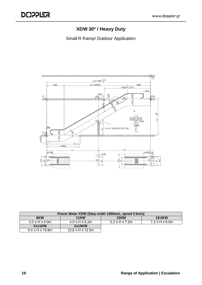# **XDW 30º / Heavy Duty**

Small R Ramp/ Outdoor Application

<span id="page-18-1"></span><span id="page-18-0"></span>

| Power Meter XDW (Step width 1000mm, speed 0.5m/s)  |                           |                         |                         |  |
|----------------------------------------------------|---------------------------|-------------------------|-------------------------|--|
| <b>15KW</b><br><b>11KW</b><br><b>18.5KW</b><br>8KW |                           |                         |                         |  |
| $3.0 \leq H \leq 4.0$ m                            | $4.0 \leq H \leq 5.2$ m   | $5.2 \leq H \leq 7.2$ m | $7.2 \leq H \leq 9.0$ m |  |
| 2x11KW                                             | 2x15KW                    |                         |                         |  |
| $9.0 \leq H \leq 10.8$ m                           | $10.8 \leq H \leq 12.0$ m |                         |                         |  |